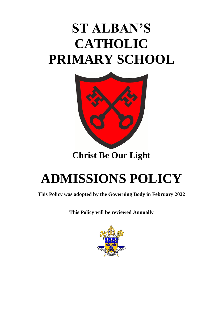# **ST ALBAN'S CATHOLIC PRIMARY SCHOOL**



### **Christ Be Our Light**

## **ADMISSIONS POLICY**

**This Policy was adopted by the Governing Body in February 2022**

**This Policy will be reviewed Annually**

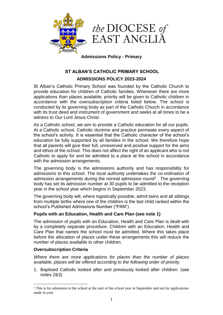

#### **Admissions Policy - Primary**

### **ST ALBAN'S CATHOLIC PRIMARY SCHOOL**

#### **ADMISSIONS POLICY 2023-2024**

St Alban's Catholic Primary School was founded by the Catholic Church to provide education for children of Catholic families. Whenever there are more applications than places available, priority will be given to Catholic children in accordance with the oversubscription criteria listed below. The school is conducted by its governing body as part of the Catholic Church in accordance with its trust deed and instrument of government and seeks at all times to be a witness to Our Lord Jesus Christ.

As a Catholic school, we aim to provide a Catholic education for all our pupils. At a Catholic school, Catholic doctrine and practice permeate every aspect of the school's activity. It is essential that the Catholic character of the school's education be fully supported by all families in the school. We therefore hope that all parents will give their full, unreserved and positive support for the aims and ethos of the school. This does not affect the right of an applicant who is not Catholic to apply for and be admitted to a place at the school in accordance with the admission arrangements.

The governing body is the admissions authority and has responsibility for admissions to this school. The local authority undertakes the co-ordination of admission arrangements during the normal admission round<sup>1</sup>. The governing body has set its admission number at 30 pupils to be admitted to the reception year in the school year which begins in September 2023.

The governing body will, where logistically possible, admit twins and all siblings from multiple births where one of the children is the last child ranked within the school's Published Admissions Number ("PAN").

#### **Pupils with an Education, Health and Care Plan (see note 1)**

The admission of pupils with an Education, Health and Care Plan is dealt with by a completely separate procedure. Children with an Education, Health and Care Plan that names the school must be admitted. Where this takes place before the allocation of places under these arrangements this will reduce the number of places available to other children.

#### **Oversubscription Criteria**

1

*Where there are more applications for places than the number of places available, places will be offered according to the following order of priority.*

1. Baptised Catholic looked after and previously looked after children. (see notes 2&3)

 $<sup>1</sup>$  This is for admission to the school at the start of the school year in September and not for applications</sup> made in-year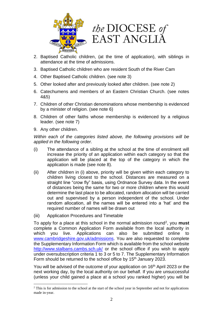



- 2. Baptised Catholic children, (at the time of application), with siblings in attendance at the time of admissions.
- 3. Baptised Catholic children who are resident South of the River Cam
- 4. Other Baptised Catholic children. (see note 3)
- 5. Other looked after and previously looked after children. (see note 2)
- 6. Catechumens and members of an Eastern Christian Church. (see notes 4&5)
- 7. Children of other Christian denominations whose membership is evidenced by a minister of religion. (see note 6)
- 8. Children of other faiths whose membership is evidenced by a religious leader. (see note 7)
- 9. Any other children.

1

*Within each of the categories listed above, the following provisions will be applied in the following order.*

- (i) The attendance of a sibling at the school at the time of enrolment will increase the priority of an application within each category so that the application will be placed at the top of the category in which the application is made (see note 8).
- (ii) After children in (i) above, priority will be given within each category to children living closest to the school. Distances are measured on a straight line "crow fly" basis, using Ordnance Survey data. In the event of distances being the same for two or more children where this would determine the last place to be allocated, random allocation will be carried out and supervised by a person independent of the school. Under random allocation, all the names will be entered into a 'hat' and the required number of names will be drawn out
- (iii) Application Procedures and Timetable

To apply for a place at this school in the normal admission round<sup>2</sup>, you must complete a Common Application Form available from the local authority in which you live. Applications can also be submitted online to [www.cambridgeshire.gov.uk/admissions.](http://www.cambridgeshire.gov.uk/admissions) You are also requested to complete the Supplementary Information Form which is available from the school website <http://www.stalbans.cambs.sch.uk/> or the school office if you wish to apply under oversubscription criteria 1 to 3 or 5 to 7. The Supplementary Information Form should be returned to the school office by  $15<sup>th</sup>$  January 2023.

You will be advised of the outcome of your application on 16<sup>th</sup> April 2023 or the next working day, by the local authority on our behalf. If you are unsuccessful (unless your child gained a place at a school you ranked higher) you will be

<sup>&</sup>lt;sup>2</sup> This is for admission to the school at the start of the school year in September and not for applications made in-year.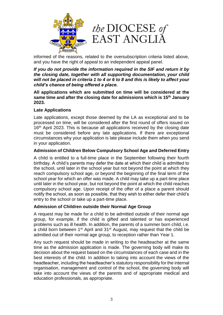

informed of the reasons, related to the oversubscription criteria listed above, and you have the right of appeal to an independent appeal panel.

*If you do not provide the information required in the SIF and return it by the closing date, together with all supporting documentation, your child will not be placed in criteria 1 to 4 or 6 to 8 and this is likely to affect your child's chance of being offered a place.*

**All applications which are submitted on time will be considered at the same time and after the closing date for admissions which is 15th January 2023.**

#### **Late Applications**

Late applications, except those deemed by the LA as exceptional and to be processed on time, will be considered after the first round of offers issued on 16<sup>th</sup> April 2023. This is because all applications received by the closing date must be considered before any late applications. If there are exceptional circumstances why your application is late please include them when you send in your application.

#### **Admission of Children Below Compulsory School Age and Deferred Entry**

A child is entitled to a full-time place in the September following their fourth birthday. A child's parents may defer the date at which their child is admitted to the school, until later in the school year but not beyond the point at which they reach compulsory school age, or beyond the beginning of the final term of the school year for which an offer was made. A child may take up a part-time place until later in the school year, but not beyond the point at which the child reaches compulsory school age. Upon receipt of the offer of a place a parent should notify the school, as soon as possible, that they wish to either defer their child's entry to the school or take up a part-time place.

#### **Admission of Children outside their Normal Age Group**

A request may be made for a child to be admitted outside of their normal age group, for example, if the child is gifted and talented or has experienced problems such as ill health. In addition, the parents of a summer born child, i.e. a child born between  $1<sup>st</sup>$  April and  $31<sup>st</sup>$  August, may request that the child be admitted out of their normal age group, to reception rather than Year 1.

Any such request should be made in writing to the headteacher at the same time as the admission application is made. The governing body will make its decision about the request based on the circumstances of each case and in the best interests of the child. In addition to taking into account the views of the headteacher, including the headteacher's statutory responsibility for the internal organisation, management and control of the school, the governing body will take into account the views of the parents and of appropriate medical and education professionals, as appropriate.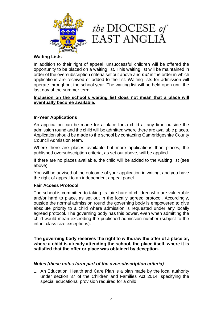



#### **Waiting Lists**

In addition to their right of appeal, unsuccessful children will be offered the opportunity to be placed on a waiting list. This waiting list will be maintained in order of the oversubscription criteria set out above and *not* in the order in which applications are received or added to the list. Waiting lists for admission will operate throughout the school year. The waiting list will be held open until the last day of the summer term.

#### **Inclusion on the school's waiting list does not mean that a place will eventually become available.**

#### **In-Year Applications**

An application can be made for a place for a child at any time outside the admission round and the child will be admitted where there are available places. Application should be made to the school by contacting Cambridgeshire County Council Admission team.

Where there are places available but more applications than places, the published oversubscription criteria, as set out above, will be applied.

If there are no places available, the child will be added to the waiting list (see above).

You will be advised of the outcome of your application in writing, and you have the right of appeal to an independent appeal panel.

#### **Fair Access Protocol**

The school is committed to taking its fair share of children who are vulnerable and/or hard to place, as set out in the locally agreed protocol. Accordingly, outside the normal admission round the governing body is empowered to give absolute priority to a child where admission is requested under any locally agreed protocol. The governing body has this power, even when admitting the child would mean exceeding the published admission number (subject to the infant class size exceptions).

**The governing body reserves the right to withdraw the offer of a place or, where a child is already attending the school, the place itself, where it is satisfied that the offer or place was obtained by deception.**

#### *Notes (these notes form part of the oversubscription criteria)*

1. An Education, Health and Care Plan is a plan made by the local authority under section 37 of the Children and Families Act 2014, specifying the special educational provision required for a child.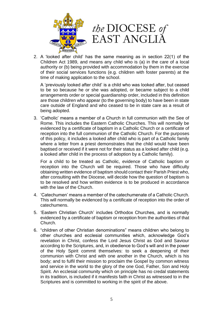



2. A 'looked after child' has the same meaning as in section 22(1) of the Children Act 1989, and means any child who is (a) in the care of a local authority or (b) being provided with accommodation by them in the exercise of their social services functions (e.g. children with foster parents) at the time of making application to the school.

A 'previously looked after child' is a child who was looked after, but ceased to be so because he or she was adopted, or became subject to a child arrangements order or special guardianship order, included in this definition are those children who appear (to the governing body) to have been in state care outside of England and who ceased to be in state care as a result of being adopted.

3. 'Catholic' means a member of a Church in full communion with the See of Rome. This includes the Eastern Catholic Churches. This will normally be evidenced by a certificate of baptism in a Catholic Church or a certificate of reception into the full communion of the Catholic Church. For the purposes of this policy, it includes a looked after child who is part of a Catholic family where a letter from a priest demonstrates that the child would have been baptised or received if it were not for their status as a looked after child (e.g. a looked after child in the process of adoption by a Catholic family).

For a child to be treated as Catholic, evidence of Catholic baptism or reception into the Church will be required. Those who have difficulty obtaining written evidence of baptism should contact their Parish Priest who, after consulting with the Diocese, will decide how the question of baptism is to be resolved and how written evidence is to be produced in accordance with the law of the Church.

- 4. 'Catechumen' means a member of the catechumenate of a Catholic Church. This will normally be evidenced by a certificate of reception into the order of catechumens.
- 5. 'Eastern Christian Church' includes Orthodox Churches, and is normally evidenced by a certificate of baptism or reception from the authorities of that Church.
- 6. "children of other Christian denominations" means children who belong to other churches and ecclesial communities which, acknowledge God's revelation in Christ, confess the Lord Jesus Christ as God and Saviour according to the Scriptures, and, in obedience to God's will and in the power of the Holy Spirit commit themselves: to seek a deepening of their communion with Christ and with one another in the Church, which is his body; and to fulfil their mission to proclaim the Gospel by common witness and service in the world to the glory of the one God, Father, Son and Holy Spirit. An ecclesial community which on principle has no credal statements in its tradition, is included if it manifests faith in Christ as witnessed to in the Scriptures and is committed to working in the spirit of the above.